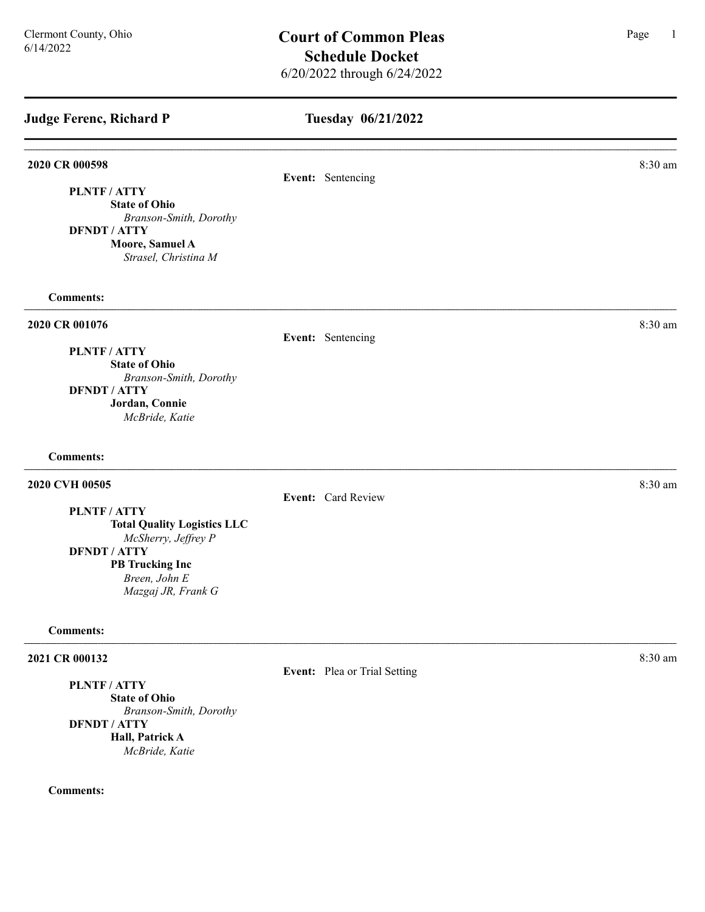| <b>Judge Ferenc, Richard P</b>                                                                                                                                                      | Tuesday 06/21/2022           |         |
|-------------------------------------------------------------------------------------------------------------------------------------------------------------------------------------|------------------------------|---------|
| 2020 CR 000598<br>PLNTF / ATTY<br><b>State of Ohio</b><br>Branson-Smith, Dorothy<br><b>DFNDT / ATTY</b><br>Moore, Samuel A<br>Strasel, Christina M                                  | Event: Sentencing            | 8:30 am |
| <b>Comments:</b>                                                                                                                                                                    |                              |         |
| 2020 CR 001076<br>PLNTF / ATTY<br><b>State of Ohio</b><br>Branson-Smith, Dorothy<br><b>DFNDT / ATTY</b><br>Jordan, Connie<br>McBride, Katie                                         | Event: Sentencing            | 8:30 am |
| <b>Comments:</b>                                                                                                                                                                    |                              |         |
| 2020 CVH 00505<br>PLNTF / ATTY<br><b>Total Quality Logistics LLC</b><br>McSherry, Jeffrey P<br><b>DFNDT / ATTY</b><br><b>PB Trucking Inc</b><br>Breen, John E<br>Mazgaj JR, Frank G | Event: Card Review           | 8:30 am |
| <b>Comments:</b>                                                                                                                                                                    |                              |         |
| 2021 CR 000132<br>PLNTF / ATTY<br><b>State of Ohio</b><br>Branson-Smith, Dorothy                                                                                                    | Event: Plea or Trial Setting | 8:30 am |

DFNDT / ATTY Hall, Patrick A McBride, Katie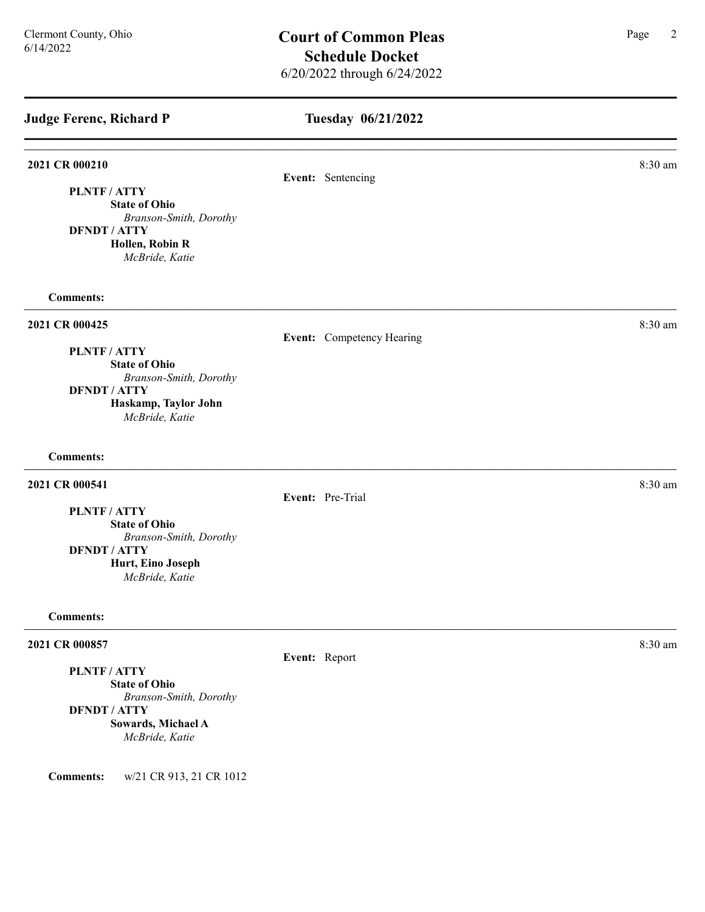| <b>Judge Ferenc, Richard P</b>                                                                                                                                        | Tuesday 06/21/2022        |         |  |
|-----------------------------------------------------------------------------------------------------------------------------------------------------------------------|---------------------------|---------|--|
| 2021 CR 000210<br>PLNTF / ATTY<br><b>State of Ohio</b><br>Branson-Smith, Dorothy<br><b>DFNDT / ATTY</b><br>Hollen, Robin R<br>McBride, Katie                          | Event: Sentencing         | 8:30 am |  |
| <b>Comments:</b><br>2021 CR 000425<br>PLNTF / ATTY<br><b>State of Ohio</b><br>Branson-Smith, Dorothy<br><b>DFNDT / ATTY</b><br>Haskamp, Taylor John<br>McBride, Katie | Event: Competency Hearing | 8:30 am |  |
| <b>Comments:</b><br>2021 CR 000541<br>PLNTF / ATTY<br><b>State of Ohio</b><br>Branson-Smith, Dorothy<br><b>DFNDT / ATTY</b><br>Hurt, Eino Joseph<br>McBride, Katie    | Event: Pre-Trial          | 8:30 am |  |
| <b>Comments:</b><br>2021 CR 000857<br>PLNTF / ATTY<br><b>State of Ohio</b><br>Branson-Smith, Dorothy<br><b>DFNDT / ATTY</b><br>Sowards, Michael A                     | Event: Report             | 8:30 am |  |

McBride, Katie

Comments: w/21 CR 913, 21 CR 1012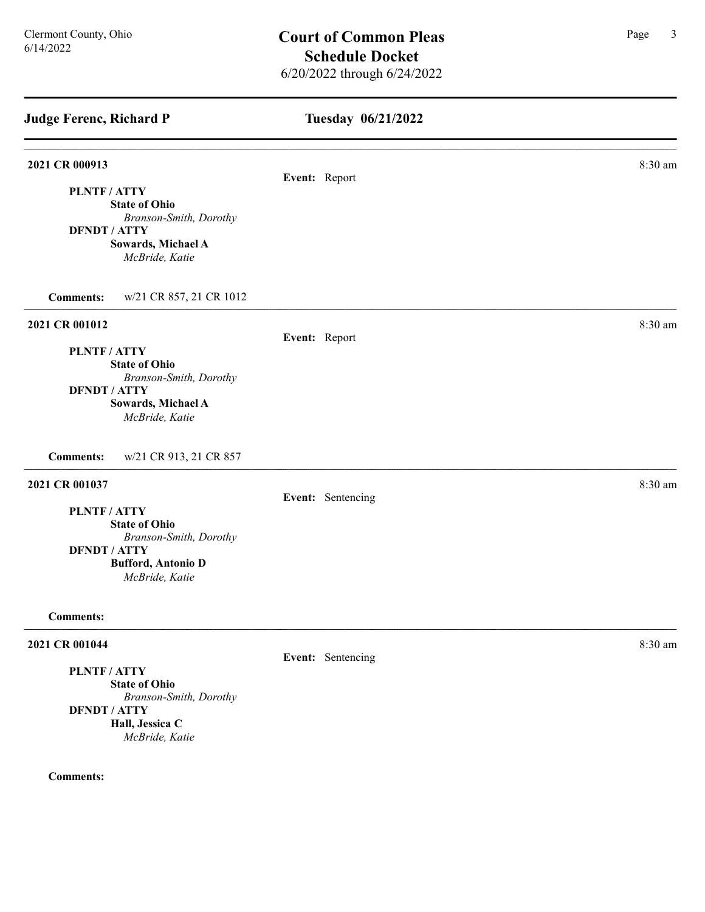| <b>Judge Ferenc, Richard P</b>                 | Tuesday 06/21/2022 |         |
|------------------------------------------------|--------------------|---------|
| 2021 CR 000913                                 |                    | 8:30 am |
| PLNTF / ATTY                                   | Event: Report      |         |
| <b>State of Ohio</b>                           |                    |         |
| Branson-Smith, Dorothy                         |                    |         |
| <b>DFNDT / ATTY</b>                            |                    |         |
| Sowards, Michael A<br>McBride, Katie           |                    |         |
|                                                |                    |         |
| <b>Comments:</b><br>w/21 CR 857, 21 CR 1012    |                    |         |
| 2021 CR 001012                                 |                    | 8:30 am |
|                                                | Event: Report      |         |
| PLNTF / ATTY<br><b>State of Ohio</b>           |                    |         |
| Branson-Smith, Dorothy                         |                    |         |
| <b>DFNDT / ATTY</b>                            |                    |         |
| Sowards, Michael A<br>McBride, Katie           |                    |         |
| <b>Comments:</b><br>w/21 CR 913, 21 CR 857     |                    |         |
| 2021 CR 001037                                 |                    | 8:30 am |
|                                                | Event: Sentencing  |         |
| PLNTF / ATTY                                   |                    |         |
| <b>State of Ohio</b><br>Branson-Smith, Dorothy |                    |         |
| <b>DFNDT / ATTY</b>                            |                    |         |
| <b>Bufford, Antonio D</b><br>McBride, Katie    |                    |         |
| <b>Comments:</b>                               |                    |         |
| 2021 CR 001044                                 |                    | 8:30 am |
|                                                | Event: Sentencing  |         |
| PLNTF / ATTY<br><b>State of Ohio</b>           |                    |         |
| Branson-Smith, Dorothy                         |                    |         |
|                                                |                    |         |

DFNDT / ATTY Hall, Jessica C McBride, Katie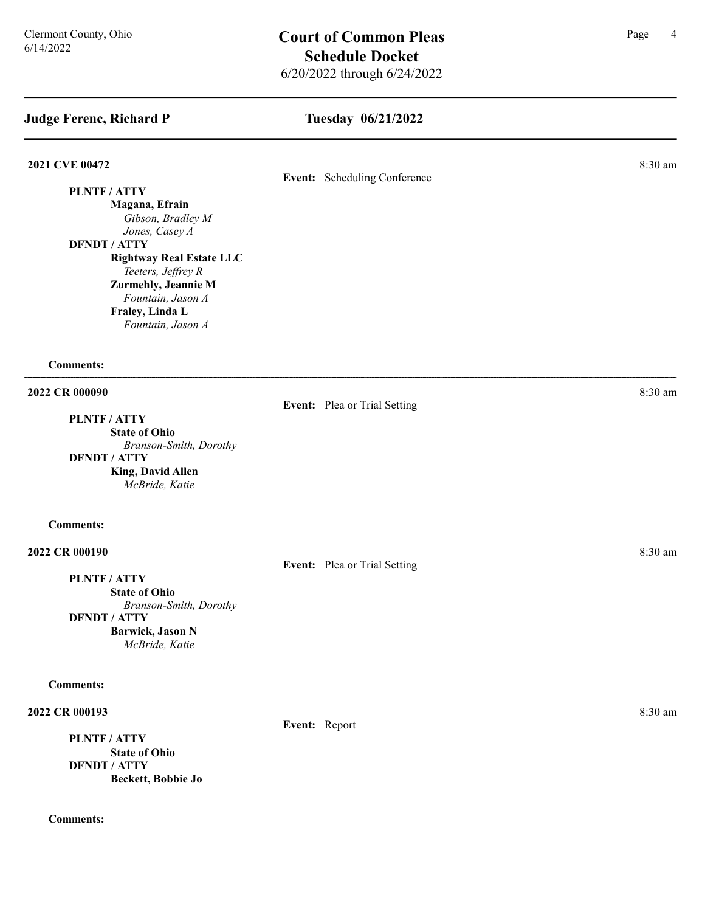## Tuesday 06/21/2022

| 2021 CVE 00472                                |               | Event: Scheduling Conference | 8:30 am |
|-----------------------------------------------|---------------|------------------------------|---------|
| PLNTF / ATTY                                  |               |                              |         |
| Magana, Efrain                                |               |                              |         |
| Gibson, Bradley M                             |               |                              |         |
| Jones, Casey A                                |               |                              |         |
| <b>DFNDT / ATTY</b>                           |               |                              |         |
| <b>Rightway Real Estate LLC</b>               |               |                              |         |
| Teeters, Jeffrey R                            |               |                              |         |
| Zurmehly, Jeannie M                           |               |                              |         |
| Fountain, Jason A                             |               |                              |         |
| Fraley, Linda L                               |               |                              |         |
| Fountain, Jason A                             |               |                              |         |
| <b>Comments:</b>                              |               |                              |         |
| 2022 CR 000090                                |               |                              | 8:30 am |
|                                               |               | Event: Plea or Trial Setting |         |
| PLNTF / ATTY                                  |               |                              |         |
| <b>State of Ohio</b>                          |               |                              |         |
| Branson-Smith, Dorothy<br><b>DFNDT / ATTY</b> |               |                              |         |
| <b>King, David Allen</b>                      |               |                              |         |
| McBride, Katie                                |               |                              |         |
| <b>Comments:</b>                              |               |                              |         |
| 2022 CR 000190                                |               |                              | 8:30 am |
|                                               |               | Event: Plea or Trial Setting |         |
| PLNTF / ATTY                                  |               |                              |         |
| <b>State of Ohio</b>                          |               |                              |         |
| Branson-Smith, Dorothy<br><b>DFNDT / ATTY</b> |               |                              |         |
| <b>Barwick, Jason N</b>                       |               |                              |         |
| McBride, Katie                                |               |                              |         |
| <b>Comments:</b>                              |               |                              |         |
| 2022 CR 000193                                |               |                              | 8:30 am |
|                                               | Event: Report |                              |         |
| PLNTF / ATTY                                  |               |                              |         |
| <b>State of Ohio</b>                          |               |                              |         |
| <b>DFNDT / ATTY</b>                           |               |                              |         |
| Beckett, Bobbie Jo                            |               |                              |         |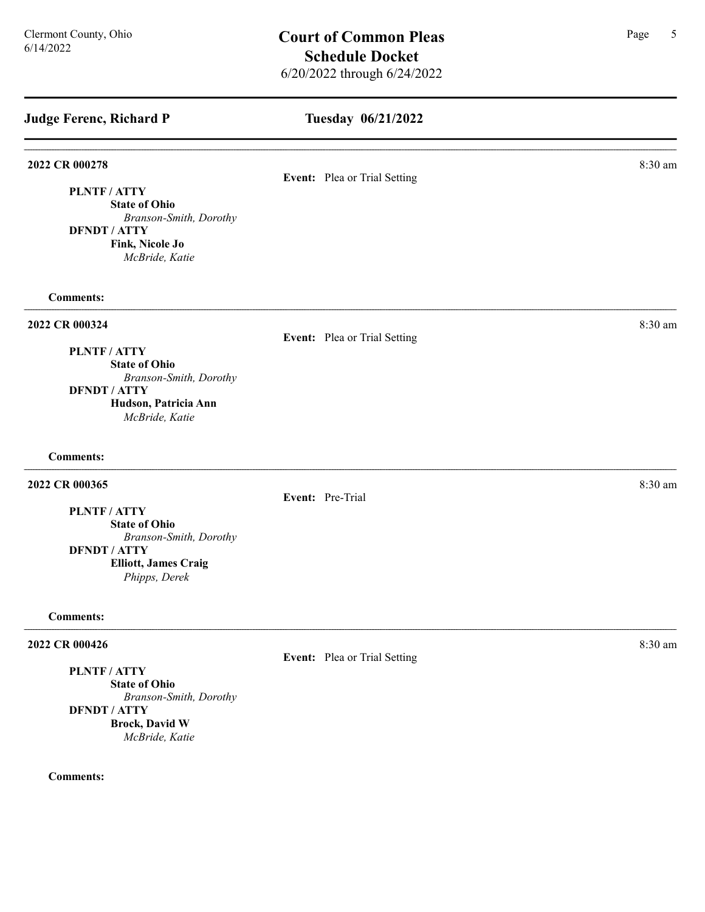| <b>Judge Ferenc, Richard P</b>                 | Tuesday 06/21/2022           |         |
|------------------------------------------------|------------------------------|---------|
| 2022 CR 000278                                 | Event: Plea or Trial Setting | 8:30 am |
| PLNTF / ATTY                                   |                              |         |
| <b>State of Ohio</b>                           |                              |         |
| Branson-Smith, Dorothy<br><b>DFNDT / ATTY</b>  |                              |         |
| Fink, Nicole Jo                                |                              |         |
| McBride, Katie                                 |                              |         |
| <b>Comments:</b>                               |                              |         |
| 2022 CR 000324                                 |                              | 8:30 am |
|                                                | Event: Plea or Trial Setting |         |
| PLNTF / ATTY<br><b>State of Ohio</b>           |                              |         |
| Branson-Smith, Dorothy                         |                              |         |
| <b>DFNDT / ATTY</b>                            |                              |         |
| Hudson, Patricia Ann<br>McBride, Katie         |                              |         |
| <b>Comments:</b>                               |                              |         |
| 2022 CR 000365                                 |                              | 8:30 am |
|                                                | Event: Pre-Trial             |         |
| PLNTF / ATTY<br><b>State of Ohio</b>           |                              |         |
| Branson-Smith, Dorothy                         |                              |         |
| <b>DFNDT / ATTY</b>                            |                              |         |
| <b>Elliott, James Craig</b><br>Phipps, Derek   |                              |         |
| <b>Comments:</b>                               |                              |         |
| 2022 CR 000426                                 |                              | 8:30 am |
|                                                | Event: Plea or Trial Setting |         |
| PLNTF / ATTY                                   |                              |         |
| <b>State of Ohio</b><br>Branson-Smith, Dorothy |                              |         |
|                                                |                              |         |

DFNDT / ATTY Brock, David W McBride, Katie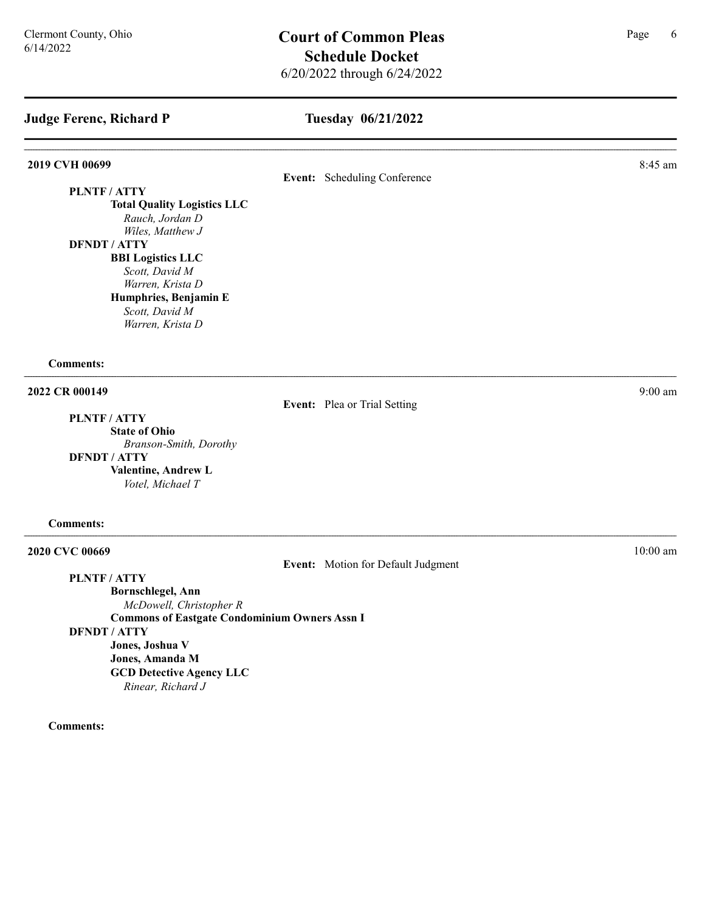#### Tuesday 06/21/2022

2019 CVH 00699 8:45 am

Event: Scheduling Conference

PLNTF / ATTY

Total Quality Logistics LLC Rauch, Jordan D Wiles, Matthew J DFNDT / ATTY

BBI Logistics LLC Scott, David M Warren, Krista D Humphries, Benjamin E Scott, David M Warren, Krista D

Comments:

#### **2022 CR 000149** 9:00 am **9:00 am**

PLNTF / ATTY

State of Ohio Branson-Smith, Dorothy

DFNDT / ATTY

Valentine, Andrew L

Votel, Michael T

#### Comments:

#### **2020 CVC 00669** 10:00 am 10:00 am 10:00 am 10:00 am 10:00 am 10:00 am 10:00 am 10:00 am 10:00 am 10:00 am 10:00 am 10:00 am 10:00 am 10:00 am 10:00 am 10:00 am 10:00 am 10:00 am 10:00 am 10:00 am 10:00 am 10:00 am 10:00 a

Event: Motion for Default Judgment

Event: Plea or Trial Setting

PLNTF / ATTY

Bornschlegel, Ann McDowell, Christopher R Commons of Eastgate Condominium Owners Assn I DFNDT / ATTY Jones, Joshua V Jones, Amanda M GCD Detective Agency LLC Rinear, Richard J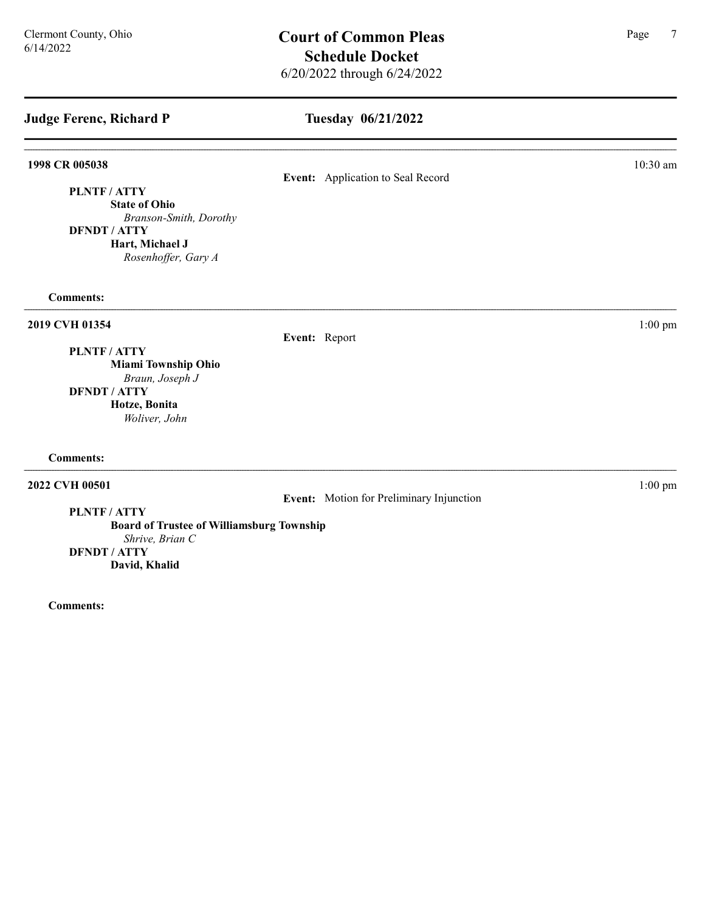| <b>Judge Ferenc, Richard P</b>         | Tuesday 06/21/2022                |           |
|----------------------------------------|-----------------------------------|-----------|
| 1998 CR 005038                         |                                   | 10:30 am  |
|                                        | Event: Application to Seal Record |           |
| PLNTF / ATTY                           |                                   |           |
| <b>State of Ohio</b>                   |                                   |           |
| Branson-Smith, Dorothy                 |                                   |           |
| <b>DFNDT / ATTY</b>                    |                                   |           |
| Hart, Michael J<br>Rosenhoffer, Gary A |                                   |           |
| <b>Comments:</b>                       |                                   |           |
| 2019 CVH 01354                         |                                   | $1:00$ pm |
|                                        | Event: Report                     |           |
| PLNTF / ATTY                           |                                   |           |
| <b>Miami Township Ohio</b>             |                                   |           |
| Braun, Joseph J                        |                                   |           |
| <b>DFNDT / ATTY</b>                    |                                   |           |
| Hotze, Bonita                          |                                   |           |
| Woliver, John                          |                                   |           |
| <b>Comments:</b>                       |                                   |           |

2022 CVH 00501 1:00 pm

Event: Motion for Preliminary Injunction

PLNTF / ATTY Board of Trustee of Williamsburg Township Shrive, Brian C DFNDT / ATTY

David, Khalid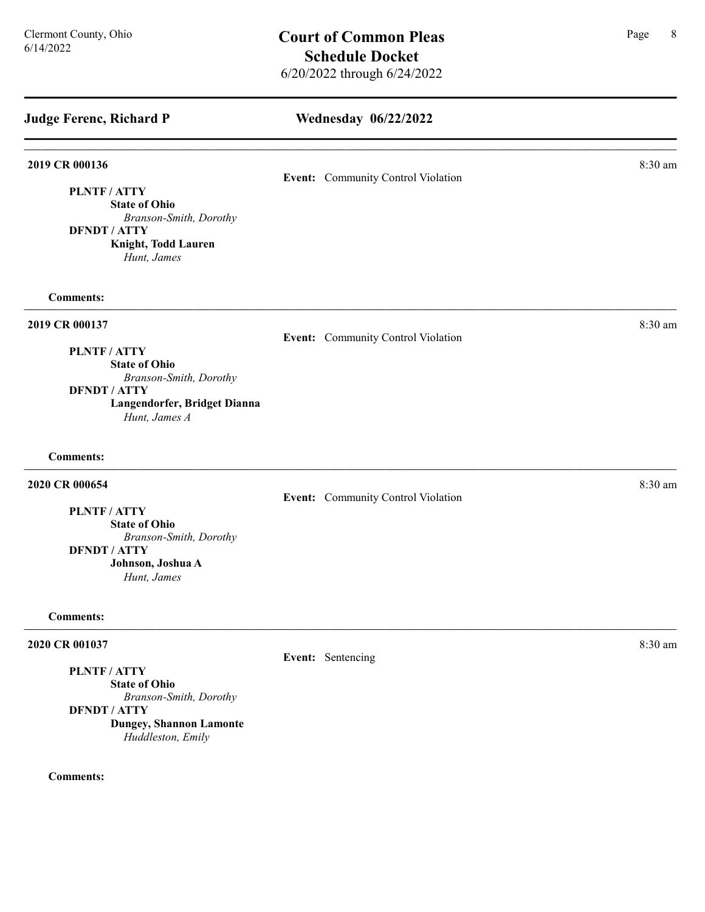# Wednesday 06/22/2022

#### **2019 CR 000136** 8:30 am **8.30 am**

Event: Community Control Violation

PLNTF / ATTY State of Ohio

Branson-Smith, Dorothy DFNDT / ATTY Knight, Todd Lauren

Hunt, James

#### Comments:

#### 2019 CR 000137 8:30 am

Event: Community Control Violation

#### PLNTF / ATTY

State of Ohio Branson-Smith, Dorothy DFNDT / ATTY

Langendorfer, Bridget Dianna

Hunt, James A

#### Comments:

#### **2020 CR 000654** 8:30 am **8:30 am**

Event: Community Control Violation

PLNTF / ATTY

State of Ohio

Branson-Smith, Dorothy

## DFNDT / ATTY

Johnson, Joshua A Hunt, James

#### Comments:

#### 2020 CR 001037 8:30 am 2020 CR 001037

PLNTF / ATTY

State of Ohio Branson-Smith, Dorothy

DFNDT / ATTY

Dungey, Shannon Lamonte Huddleston, Emily

Comments:

#### Event: Sentencing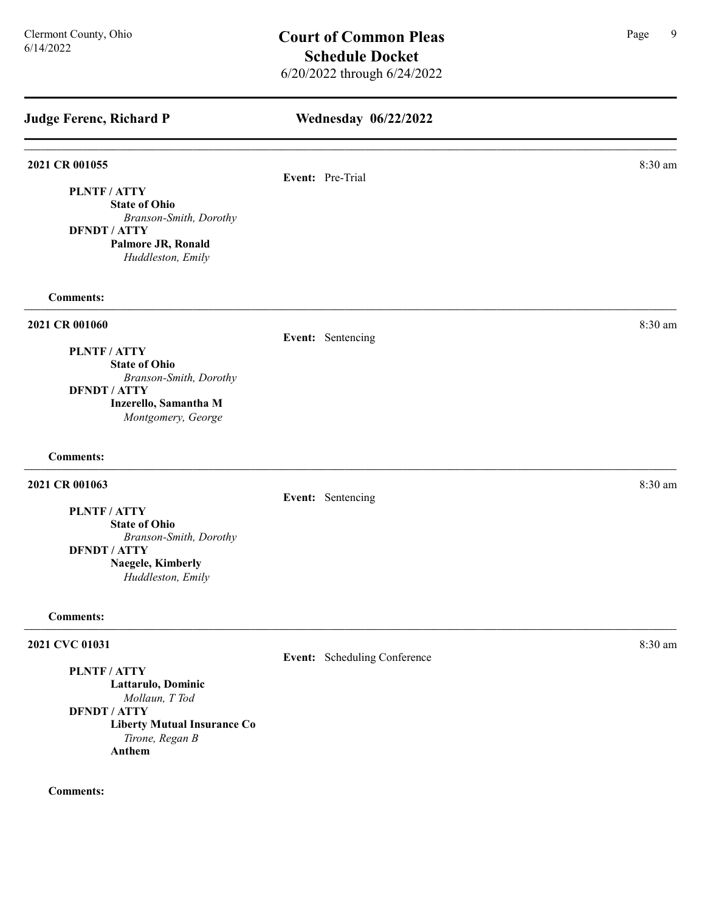| <b>Judge Ferenc, Richard P</b>                 | <b>Wednesday 06/22/2022</b>  |           |
|------------------------------------------------|------------------------------|-----------|
| 2021 CR 001055                                 | Event: Pre-Trial             | 8:30 am   |
| PLNTF / ATTY                                   |                              |           |
| <b>State of Ohio</b><br>Branson-Smith, Dorothy |                              |           |
| <b>DFNDT / ATTY</b>                            |                              |           |
| Palmore JR, Ronald<br>Huddleston, Emily        |                              |           |
| <b>Comments:</b>                               |                              |           |
| 2021 CR 001060                                 |                              | 8:30 am   |
| <b>PLNTF/ATTY</b>                              | Event: Sentencing            |           |
| <b>State of Ohio</b>                           |                              |           |
| Branson-Smith, Dorothy                         |                              |           |
| <b>DFNDT / ATTY</b>                            |                              |           |
| Inzerello, Samantha M<br>Montgomery, George    |                              |           |
| <b>Comments:</b>                               |                              |           |
| 2021 CR 001063                                 |                              | 8:30 am   |
|                                                | Event: Sentencing            |           |
| PLNTF / ATTY<br><b>State of Ohio</b>           |                              |           |
| Branson-Smith, Dorothy                         |                              |           |
| <b>DFNDT / ATTY</b>                            |                              |           |
| Naegele, Kimberly<br>Huddleston, Emily         |                              |           |
| <b>Comments:</b>                               |                              |           |
| 2021 CVC 01031                                 |                              | $8:30$ am |
|                                                | Event: Scheduling Conference |           |
| <b>PLNTF/ATTY</b><br>Lattarulo, Dominic        |                              |           |
| Mollaun, T Tod                                 |                              |           |

DFNDT / ATTY Liberty Mutual Insurance Co Tirone, Regan B Anthem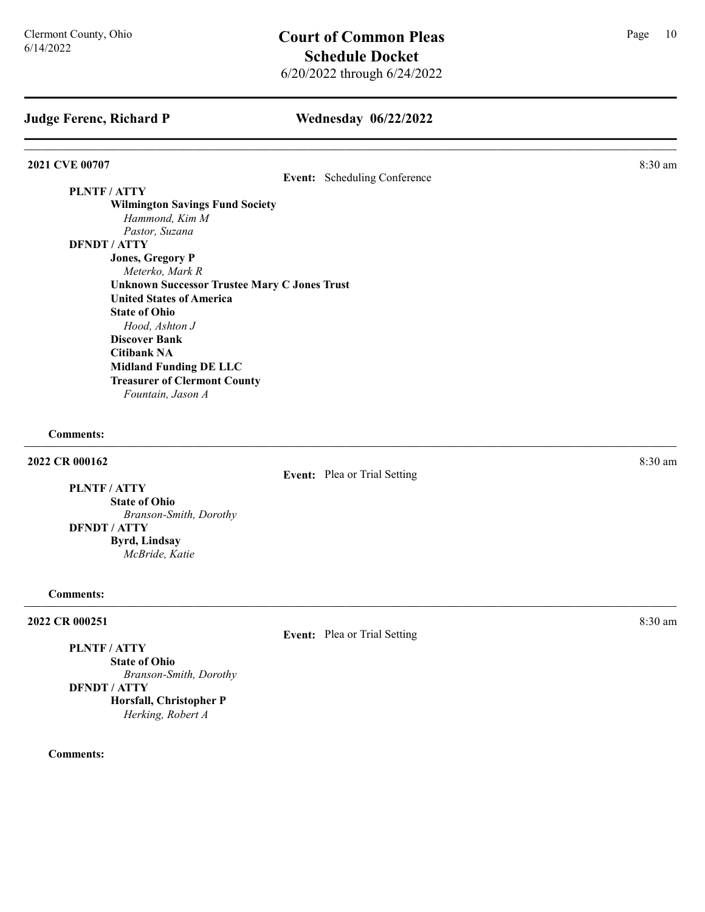#### Wednesday 06/22/2022

#### 2021 CVE 00707 8:30 am

Event: Scheduling Conference

#### PLNTF / ATTY

Wilmington Savings Fund Society Hammond, Kim M Pastor, Suzana DFNDT / ATTY Jones, Gregory P Meterko, Mark R Unknown Successor Trustee Mary C Jones Trust United States of America State of Ohio Hood, Ashton J Discover Bank Citibank NA Midland Funding DE LLC Treasurer of Clermont County Fountain, Jason A

#### Comments:

#### **2022 CR 000162** 8:30 am **8.30 am**

Event: Plea or Trial Setting

PLNTF / ATTY State of Ohio Branson-Smith, Dorothy DFNDT / ATTY Byrd, Lindsay McBride, Katie

#### Comments:

#### 2022 CR 000251 8:30 am 2022 CR 000251

Event: Plea or Trial Setting

## PLNTF / ATTY

State of Ohio Branson-Smith, Dorothy DFNDT / ATTY Horsfall, Christopher P Herking, Robert A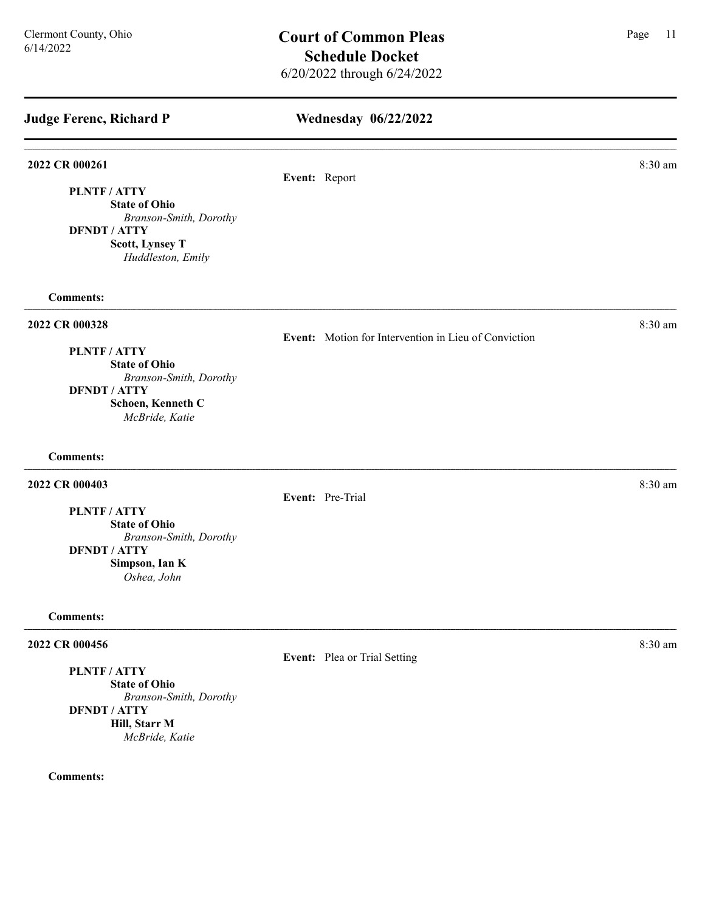### Wednesday 06/22/2022

#### **2022 CR 000261** 8:30 am **8:30 am**

Event: Report

PLNTF / ATTY State of Ohio Branson-Smith, Dorothy DFNDT / ATTY Scott, Lynsey T Huddleston, Emily

Comments:

#### **2022 CR 000328** 8:30 am **8:30 am**

Event: Motion for Intervention in Lieu of Conviction

#### PLNTF / ATTY

State of Ohio Branson-Smith, Dorothy DFNDT / ATTY Schoen, Kenneth C McBride, Katie

#### Comments:

#### 2022 CR 000403 8:30 am 2022 CR 000403

Event: Pre-Trial

PLNTF / ATTY

State of Ohio Branson-Smith, Dorothy DFNDT / ATTY Simpson, Ian K Oshea, John

#### Comments:

#### 2022 CR 000456 8:30 am 2022 CR 000456

PLNTF / ATTY

State of Ohio Branson-Smith, Dorothy DFNDT / ATTY Hill, Starr M McBride, Katie

#### Comments:

Event: Plea or Trial Setting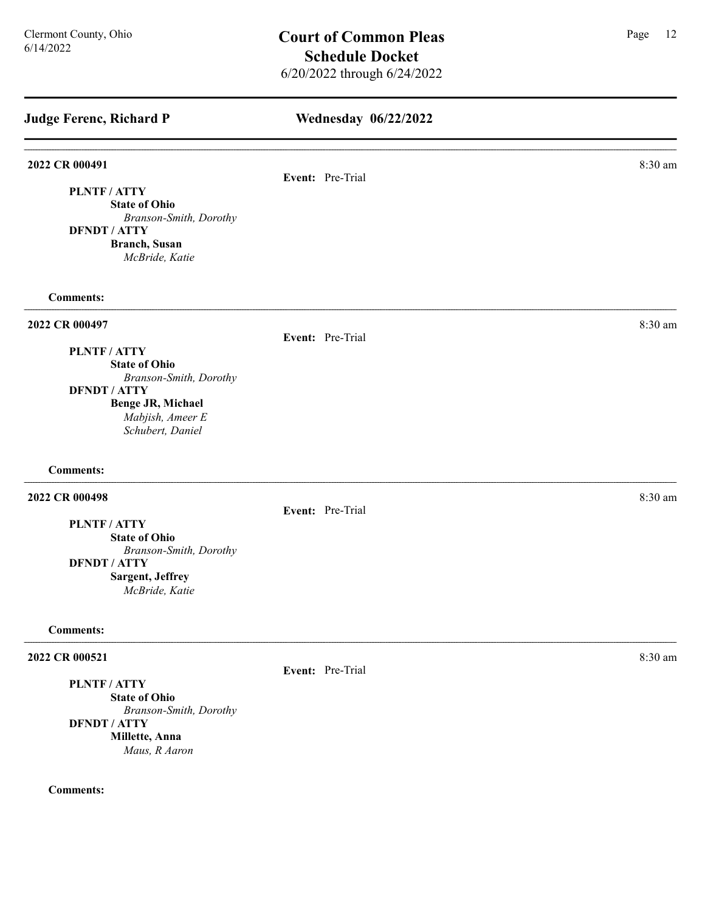| <b>Judge Ferenc, Richard P</b>                                                                                                                                       | Wednesday 06/22/2022 |         |
|----------------------------------------------------------------------------------------------------------------------------------------------------------------------|----------------------|---------|
| 2022 CR 000491                                                                                                                                                       | Event: Pre-Trial     | 8:30 am |
| PLNTF / ATTY<br><b>State of Ohio</b><br>Branson-Smith, Dorothy<br><b>DFNDT / ATTY</b><br><b>Branch</b> , Susan<br>McBride, Katie                                     |                      |         |
| <b>Comments:</b>                                                                                                                                                     |                      |         |
| 2022 CR 000497<br>PLNTF / ATTY<br><b>State of Ohio</b><br>Branson-Smith, Dorothy<br><b>DFNDT / ATTY</b><br>Benge JR, Michael<br>Mabjish, Ameer E<br>Schubert, Daniel | Event: Pre-Trial     | 8:30 am |
| <b>Comments:</b>                                                                                                                                                     |                      |         |
| 2022 CR 000498<br>PLNTF / ATTY<br><b>State of Ohio</b><br>Branson-Smith, Dorothy<br><b>DFNDT / ATTY</b><br><b>Sargent, Jeffrey</b><br>McBride, Katie                 | Event: Pre-Trial     | 8:30 am |
| <b>Comments:</b>                                                                                                                                                     |                      |         |
| 2022 CR 000521                                                                                                                                                       |                      | 8:30 am |

PLNTF / ATTY

State of Ohio Branson-Smith, Dorothy DFNDT / ATTY Millette, Anna Maus, R Aaron

#### Comments:

Event: Pre-Trial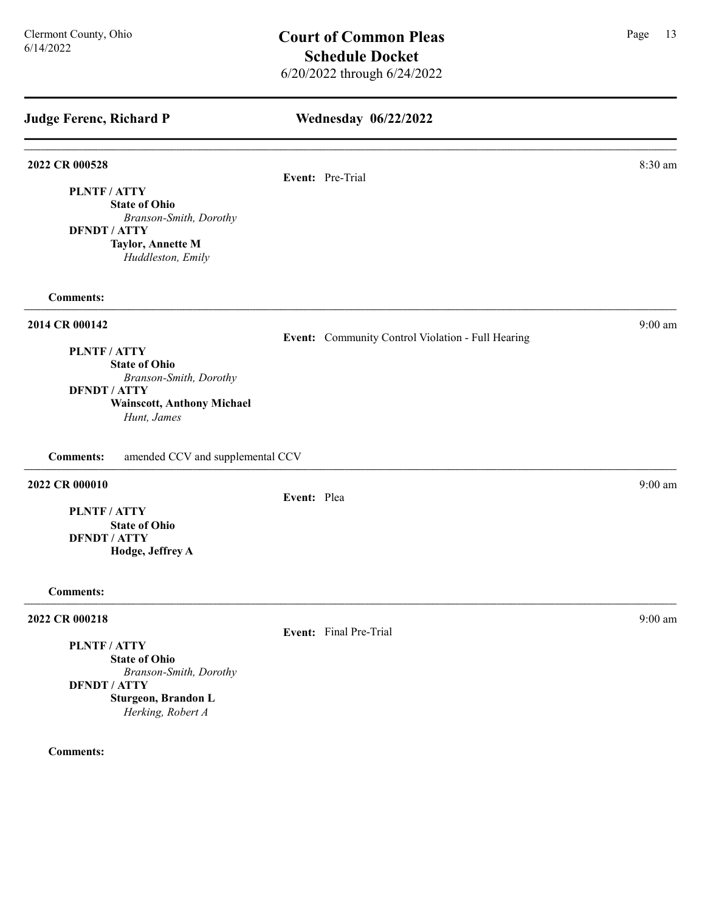#### Wednesday 06/22/2022

#### **2022 CR 000528** 8:30 am **8.30 am**

Event: Pre-Trial

PLNTF / ATTY State of Ohio

Branson-Smith, Dorothy DFNDT / ATTY Taylor, Annette M

Huddleston, Emily

Comments:

#### 2014 CR 000142 9:00 am

Event: Community Control Violation - Full Hearing

#### PLNTF / ATTY

State of Ohio Branson-Smith, Dorothy DFNDT / ATTY Wainscott, Anthony Michael

Hunt, James

Comments: amended CCV and supplemental CCV

#### 2022 CR 000010 9:00 am 9:00 9:00 am 9:00 9:00 am 9:00 9:00 am 9:00 9:00 am 9:00 9:00 am 9:00 9:00 am 9:00 9:00 am 9:00 am 9:00 9:00 am 9:00 9:00 am 9:00 9:00 am 9:00 9:00 am 9:00 9:00 am 9:00 9:00 am 9:00 9:00 am 9:00 9:00

Event: Plea

State of Ohio PLNTF / ATTY DFNDT / ATTY Hodge, Jeffrey A

#### Comments:

#### 2022 CR 000218 9:00 am 9:00 am 9:00 am 9:00 am 9:00 am 9:00 am 9:00 am 9:00 am 9:00 am 9:00 am 9:00 am 9:00 am 9:00 am 9:00 am 9:00 am 9:00 am 9:00 am 9:00 am 9:00 am 9:00 am 9:00 am 9:00 am 9:00 am 9:00 am 9:00 am 9:00 am

#### PLNTF / ATTY

State of Ohio Branson-Smith, Dorothy DFNDT / ATTY Sturgeon, Brandon L Herking, Robert A

Comments:

Event: Final Pre-Trial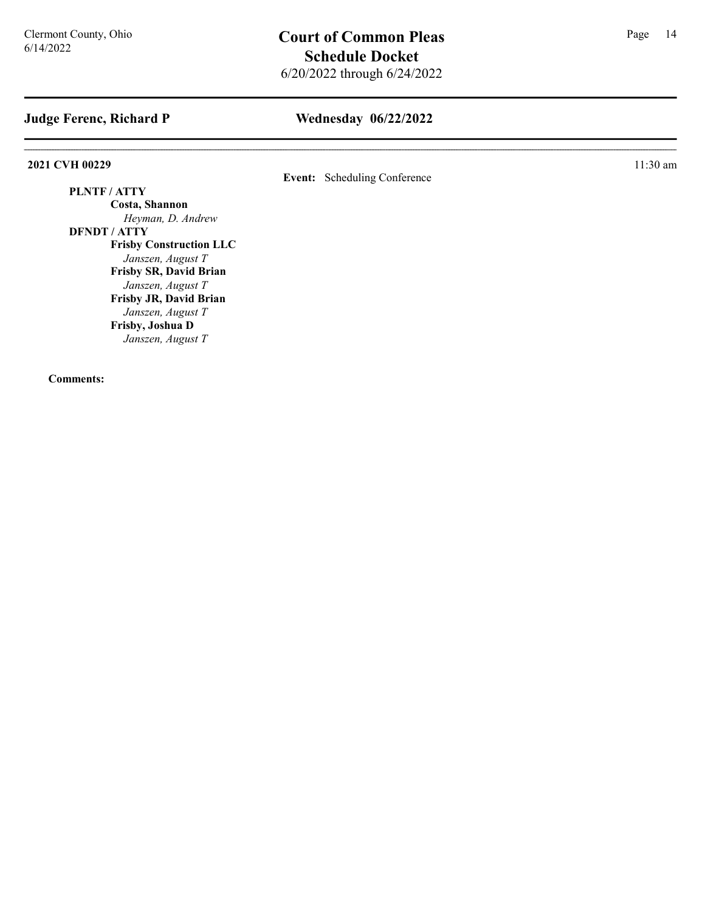## Wednesday 06/22/2022

#### **2021 CVH 00229** 11:30 am

#### Event: Scheduling Conference

#### PLNTF / ATTY

Costa, Shannon Heyman, D. Andrew

## DFNDT / ATTY

Frisby Construction LLC Janszen, August T Frisby SR, David Brian Janszen, August T Frisby JR, David Brian Janszen, August T Frisby, Joshua D Janszen, August T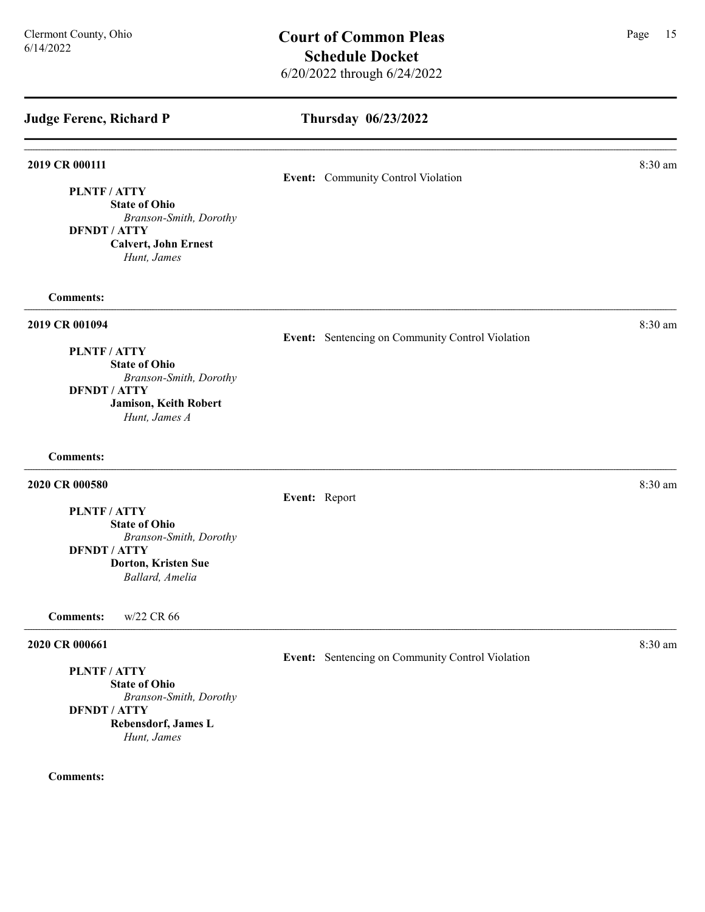Thursday 06/23/2022

**2019 CR 000111** 8:30 am **8:30 am** Event: Community Control Violation PLNTF / ATTY State of Ohio Branson-Smith, Dorothy DFNDT / ATTY Calvert, John Ernest Hunt, James Comments: 2019 CR 001094 8:30 am Event: Sentencing on Community Control Violation PLNTF / ATTY State of Ohio Branson-Smith, Dorothy DFNDT / ATTY Jamison, Keith Robert Hunt, James A Comments: **2020 CR 000580** 8:30 am **8:30 am** Event: Report PLNTF / ATTY State of Ohio Branson-Smith, Dorothy DFNDT / ATTY Dorton, Kristen Sue Ballard, Amelia Comments: w/22 CR 66 **2020 CR 000661** 8:30 am **8:30 am** Event: Sentencing on Community Control Violation PLNTF / ATTY State of Ohio Branson-Smith, Dorothy DFNDT / ATTY Rebensdorf, James L Hunt, James Comments: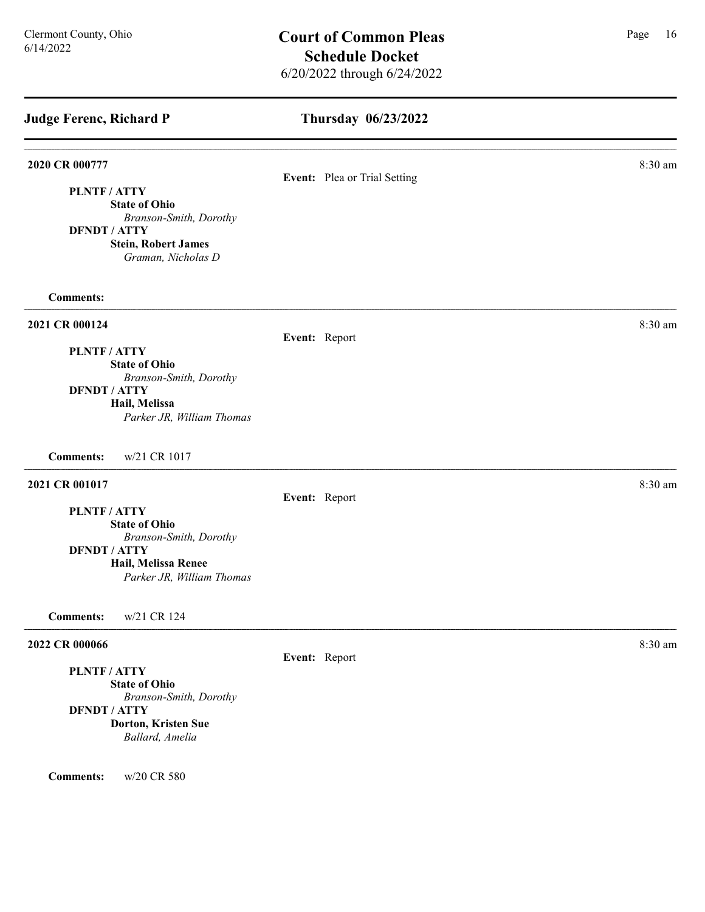| <b>Judge Ferenc, Richard P</b>                 | Thursday 06/23/2022          |         |
|------------------------------------------------|------------------------------|---------|
| 2020 CR 000777                                 | Event: Plea or Trial Setting | 8:30 am |
| PLNTF / ATTY                                   |                              |         |
| <b>State of Ohio</b><br>Branson-Smith, Dorothy |                              |         |
| <b>DFNDT / ATTY</b>                            |                              |         |
| <b>Stein, Robert James</b>                     |                              |         |
| Graman, Nicholas D                             |                              |         |
| <b>Comments:</b>                               |                              |         |
| 2021 CR 000124                                 |                              | 8:30 am |
| <b>PLNTF/ATTY</b>                              | Event: Report                |         |
| <b>State of Ohio</b>                           |                              |         |
| Branson-Smith, Dorothy                         |                              |         |
| <b>DFNDT / ATTY</b>                            |                              |         |
| Hail, Melissa                                  |                              |         |
| Parker JR, William Thomas                      |                              |         |
| <b>Comments:</b><br>w/21 CR 1017               |                              |         |
| 2021 CR 001017                                 |                              | 8:30 am |
|                                                | Event: Report                |         |
| PLNTF / ATTY                                   |                              |         |
| <b>State of Ohio</b><br>Branson-Smith, Dorothy |                              |         |
| <b>DFNDT / ATTY</b>                            |                              |         |
| Hail, Melissa Renee                            |                              |         |
| Parker JR, William Thomas                      |                              |         |
| <b>Comments:</b><br>w/21 CR 124                |                              |         |
| 2022 CR 000066                                 |                              | 8:30 am |
|                                                | Event: Report                |         |
| PLNTF / ATTY                                   |                              |         |
| <b>State of Ohio</b>                           |                              |         |
| Branson-Smith, Dorothy<br><b>DFNDT / ATTY</b>  |                              |         |
| Dorton, Kristen Sue                            |                              |         |
|                                                |                              |         |

Ballard, Amelia

Comments: w/20 CR 580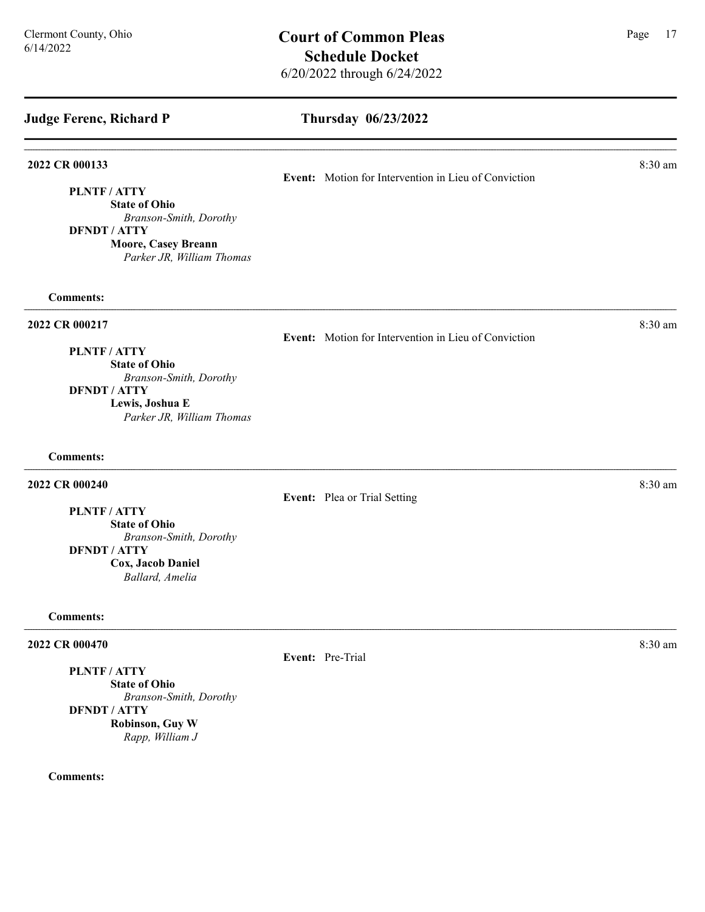## Thursday 06/23/2022

#### **2022 CR 000133** 8:30 am **8.30 am**

PLNTF / ATTY

State of Ohio Branson-Smith, Dorothy

DFNDT / ATTY

Moore, Casey Breann Parker JR, William Thomas

Comments:

2022 CR 000217 8:30 am and 2022 CR 000217

Event: Motion for Intervention in Lieu of Conviction

Event: Motion for Intervention in Lieu of Conviction

PLNTF / ATTY

State of Ohio Branson-Smith, Dorothy

DFNDT / ATTY

Lewis, Joshua E Parker JR, William Thomas

Comments:

#### **2022 CR 000240** 8:30 am **8:30 am**

Event: Plea or Trial Setting

PLNTF / ATTY

State of Ohio Branson-Smith, Dorothy DFNDT / ATTY Cox, Jacob Daniel Ballard, Amelia

#### Comments:

#### 2022 CR 000470 8:30 am 2022 CR 000470

PLNTF / ATTY

State of Ohio Branson-Smith, Dorothy DFNDT / ATTY Robinson, Guy W Rapp, William J

#### Comments:

Event: Pre-Trial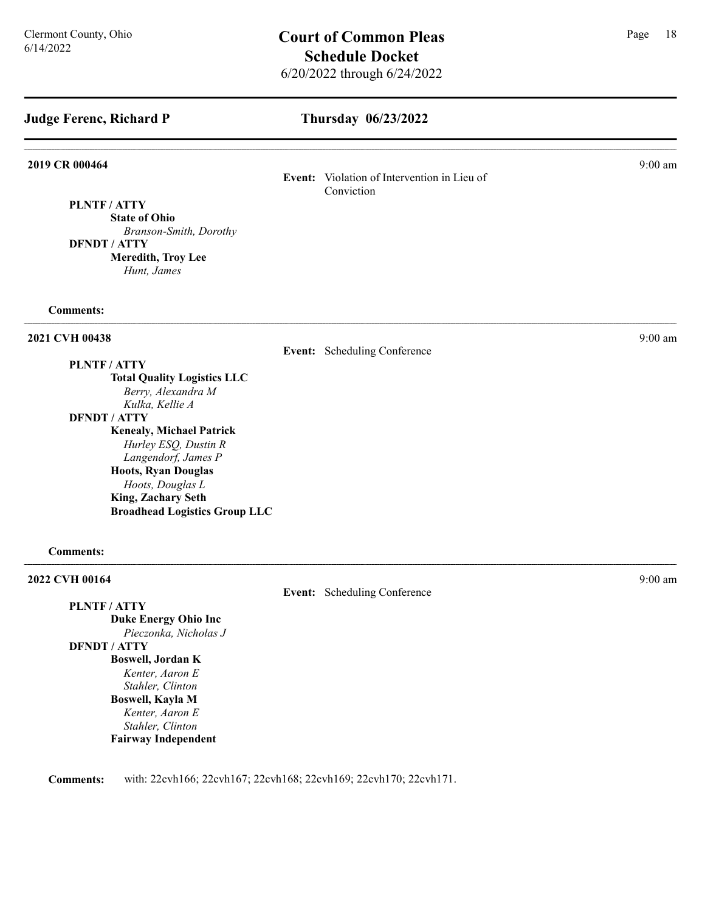## $C$ ermont County, Ohio **Court of Common Pleas** Page 18 Schedule Docket 6/20/2022 through 6/24/2022

## Judge Ferenc, Richard P

#### Thursday 06/23/2022

**2019 CR 000464** 9:00 am **9:00 am** 

Event: Violation of Intervention in Lieu of Conviction

PLNTF / ATTY State of Ohio Branson-Smith, Dorothy DFNDT / ATTY Meredith, Troy Lee Hunt, James

#### Comments:

#### 2021 CVH 00438 9:00 am

Event: Scheduling Conference

PLNTF / ATTY Total Quality Logistics LLC Berry, Alexandra M Kulka, Kellie A DFNDT / ATTY

Kenealy, Michael Patrick Hurley ESQ, Dustin R Langendorf, James P Hoots, Ryan Douglas Hoots, Douglas L King, Zachary Seth Broadhead Logistics Group LLC

#### Comments:

#### 2022 CVH 00164 9:00 am and 2022 CVH 00164

PLNTF / ATTY Duke Energy Ohio Inc Pieczonka, Nicholas J DFNDT / ATTY Boswell, Jordan K Kenter, Aaron E Stahler, Clinton Boswell, Kayla M Kenter, Aaron E Stahler, Clinton Fairway Independent

Comments: with: 22cvh166; 22cvh167; 22cvh168; 22cvh169; 22cvh170; 22cvh171.

Event: Scheduling Conference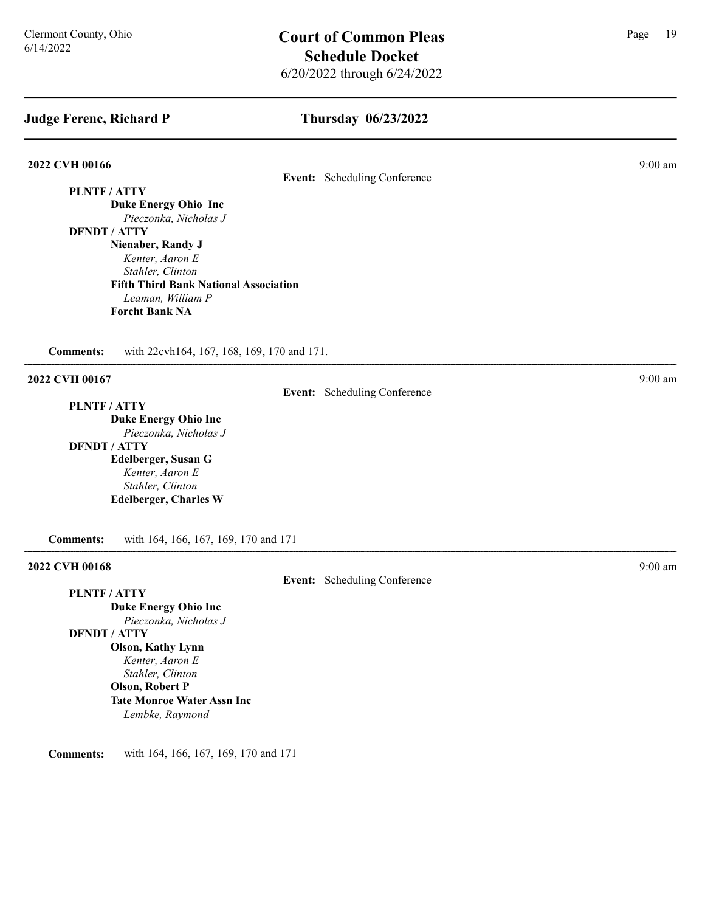#### Thursday 06/23/2022

2022 CVH 00166 9:00 am 9:00 9:00 am 9:00 9:00 am 9:00 9:00 am 9:00 9:00 am 9:00 9:00 am 9:00 9:00 am 9:00 9:00 am 9:00 am 9:00 9:00 am 9:00 am 9:00 am 9:00 am 9:00 am 9:00 am 9:00 am 9:00 am 9:00 am 9:00 am 9:00 am 9:00 am

Event: Scheduling Conference

Duke Energy Ohio Inc Pieczonka, Nicholas J

DFNDT / ATTY

PLNTF / ATTY

Nienaber, Randy J Kenter, Aaron E Stahler, Clinton Fifth Third Bank National Association Leaman, William P

Forcht Bank NA

Comments: with 22cvh164, 167, 168, 169, 170 and 171.

2022 CVH 00167 9:00 am 9:00 9:00 am 9:00 9:00 am 9:00 9:00 am 9:00 9:00 am 9:00 9:00 am 9:00 9:00 am 9:00 9:00 am 9:00 am 9:00 9:00 am 9:00 9:00 am 9:00 9:00 am 9:00 9:00 am 9:00 9:00 am 9:00 9:00 9:00 9:00 9:00 9:00 9:00

Event: Scheduling Conference

PLNTF / ATTY

Duke Energy Ohio Inc Pieczonka, Nicholas J DFNDT / ATTY Edelberger, Susan G Kenter, Aaron E Stahler, Clinton Edelberger, Charles W

Comments: with 164, 166, 167, 169, 170 and 171

#### 2022 CVH 00168 9:00 am 9:00 am 6 9:00 am 6 9:00 am 6 9:00 am 6 9:00 am 6 9:00 am 6 9:00 am 6 9:00 am 6 9:00 am

Event: Scheduling Conference

PLNTF / ATTY Duke Energy Ohio Inc Pieczonka, Nicholas J DFNDT / ATTY Olson, Kathy Lynn Kenter, Aaron E Stahler, Clinton Olson, Robert P Tate Monroe Water Assn Inc Lembke, Raymond

Comments: with 164, 166, 167, 169, 170 and 171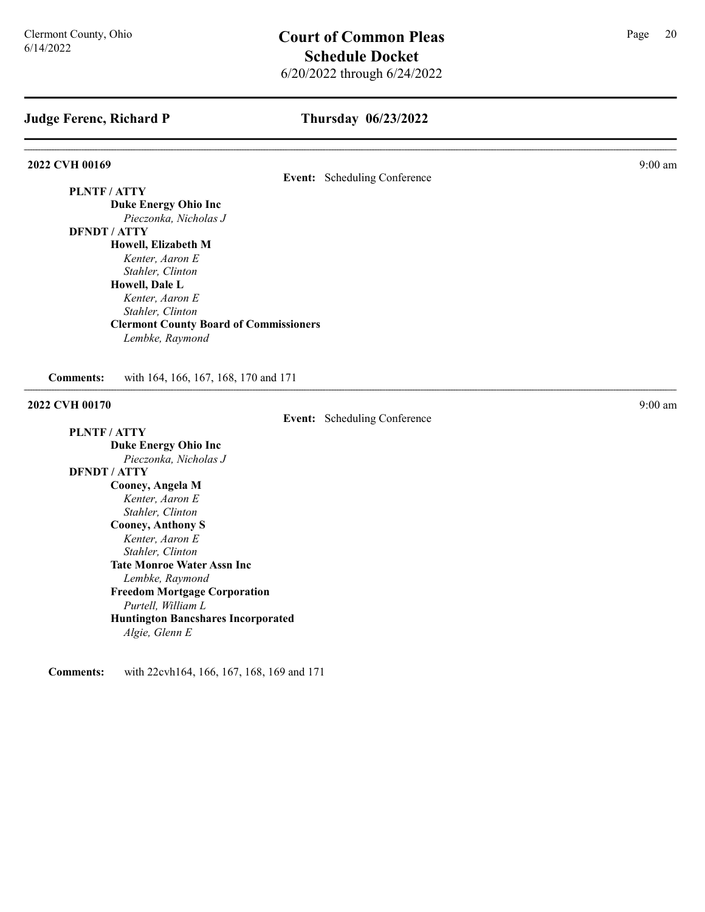#### Thursday 06/23/2022

#### **2022 CVH 00169** 9:00 am **9:00 am**

Event: Scheduling Conference

#### PLNTF / ATTY

Duke Energy Ohio Inc Pieczonka, Nicholas J

## DFNDT / ATTY

Howell, Elizabeth M Kenter, Aaron E Stahler, Clinton

#### Howell, Dale L

Kenter, Aaron E Stahler, Clinton Clermont County Board of Commissioners Lembke, Raymond

Comments: with 164, 166, 167, 168, 170 and 171

## 2022 CVH 00170 9:00 am 9:00 9:00 am 9:00 9:00 am 9:00 9:00 am 9:00 9:00 am 9:00 9:00 am 9:00 9:00 am 9:00 9:00 am 9:00 am 9:00 9:00 am 9:00 9:00 am 9:00 9:00 am 9:00 9:00 am 9:00 9:00 am 9:00 9:00 am 9:00 9:00 am 9:00 9:00

Event: Scheduling Conference

#### PLNTF / ATTY Duke Energy Ohio Inc Pieczonka, Nicholas J DFNDT / ATTY Cooney, Angela M Kenter, Aaron E Stahler, Clinton Cooney, Anthony S Kenter, Aaron E Stahler, Clinton Tate Monroe Water Assn Inc Lembke, Raymond Freedom Mortgage Corporation Purtell, William L Huntington Bancshares Incorporated Algie, Glenn E

Comments: with 22cvh164, 166, 167, 168, 169 and 171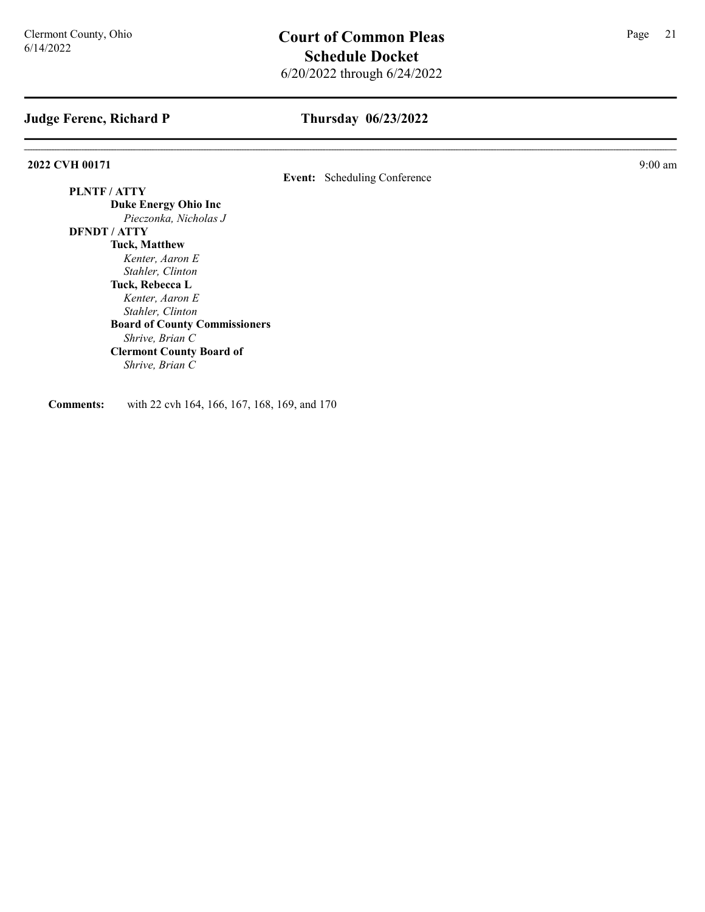## Thursday 06/23/2022

#### **2022 CVH 00171** 9:00 am 9:00 am 9:00 am 9:00 am 9:00 am 9:00 am 9:00 am 9:00 am 9:00 am 9:00 am 9:00 am 9:00 am 9:00 am 9:00 am 9:00 am 9:00 am 9:00 am 9:00 am 9:00 am 9:00 am 9:00 am 9:00 am 9:00 am 9:00 am 9:00 am 9:00

Event: Scheduling Conference

#### PLNTF / ATTY Duke Energy Ohio Inc

Pieczonka, Nicholas J DFNDT / ATTY

Tuck, Matthew Kenter, Aaron E Stahler, Clinton Tuck, Rebecca L

Kenter, Aaron E Stahler, Clinton Board of County Commissioners Shrive, Brian C Clermont County Board of Shrive, Brian C

Comments: with 22 cvh 164, 166, 167, 168, 169, and 170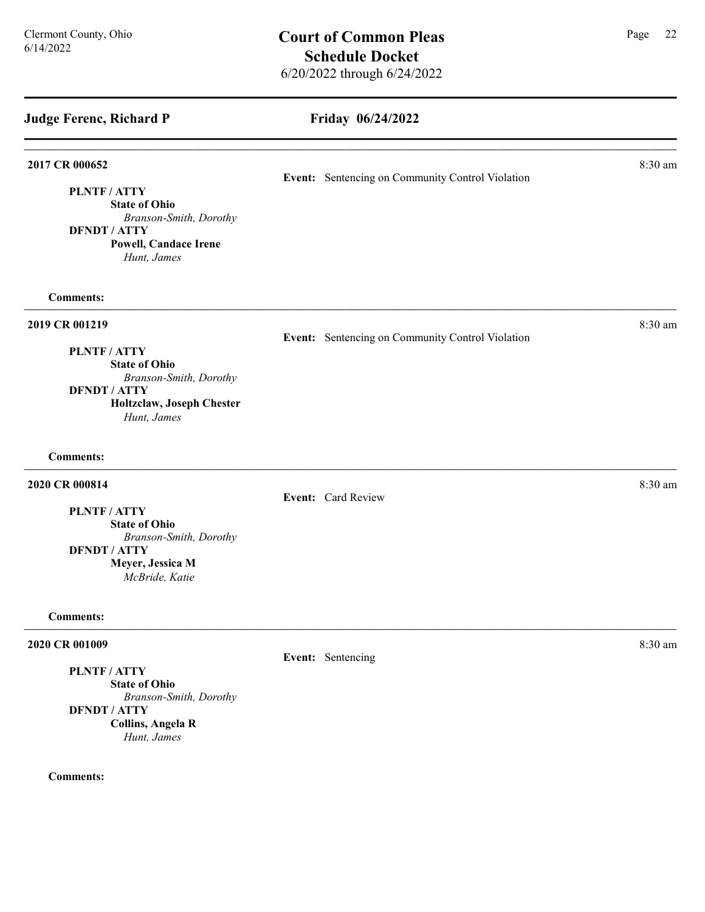## Friday 06/24/2022

| 2017 CR 000652                                   |                                                  | 8:30 am |
|--------------------------------------------------|--------------------------------------------------|---------|
|                                                  | Event: Sentencing on Community Control Violation |         |
| PLNTF / ATTY<br><b>State of Ohio</b>             |                                                  |         |
| Branson-Smith, Dorothy                           |                                                  |         |
| <b>DFNDT / ATTY</b>                              |                                                  |         |
| <b>Powell, Candace Irene</b>                     |                                                  |         |
| Hunt, James                                      |                                                  |         |
| <b>Comments:</b>                                 |                                                  |         |
| 2019 CR 001219                                   |                                                  | 8:30 am |
|                                                  | Event: Sentencing on Community Control Violation |         |
| PLNTF / ATTY                                     |                                                  |         |
| <b>State of Ohio</b>                             |                                                  |         |
| Branson-Smith, Dorothy                           |                                                  |         |
| <b>DFNDT / ATTY</b><br>Holtzclaw, Joseph Chester |                                                  |         |
| Hunt, James                                      |                                                  |         |
| <b>Comments:</b>                                 |                                                  |         |
| 2020 CR 000814                                   |                                                  | 8:30 am |
|                                                  | Event: Card Review                               |         |
| PLNTF / ATTY                                     |                                                  |         |
| <b>State of Ohio</b>                             |                                                  |         |
| Branson-Smith, Dorothy                           |                                                  |         |
| <b>DFNDT / ATTY</b>                              |                                                  |         |
| Meyer, Jessica M                                 |                                                  |         |
| McBride, Katie                                   |                                                  |         |
| <b>Comments:</b>                                 |                                                  |         |
| 2020 CR 001009                                   |                                                  | 8:30 am |
|                                                  | Event: Sentencing                                |         |
| PLNTF / ATTY                                     |                                                  |         |
| <b>State of Ohio</b>                             |                                                  |         |
| Branson-Smith, Dorothy<br><b>DFNDT / ATTY</b>    |                                                  |         |
|                                                  |                                                  |         |

Collins, Angela R Hunt, James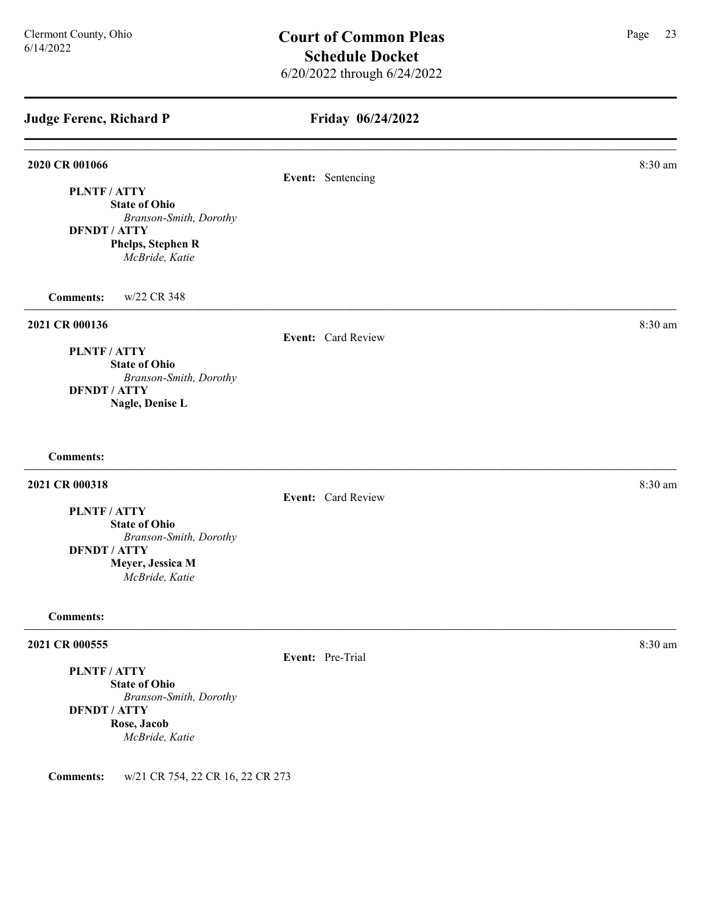| <b>Judge Ferenc, Richard P</b>                 | Friday 06/24/2022  |         |
|------------------------------------------------|--------------------|---------|
| 2020 CR 001066                                 | Event: Sentencing  | 8:30 am |
| PLNTF / ATTY                                   |                    |         |
| <b>State of Ohio</b><br>Branson-Smith, Dorothy |                    |         |
| <b>DFNDT / ATTY</b>                            |                    |         |
| Phelps, Stephen R                              |                    |         |
| McBride, Katie                                 |                    |         |
| <b>Comments:</b><br>w/22 CR 348                |                    |         |
| 2021 CR 000136                                 |                    | 8:30 am |
| PLNTF / ATTY                                   | Event: Card Review |         |
| <b>State of Ohio</b>                           |                    |         |
| Branson-Smith, Dorothy<br><b>DFNDT / ATTY</b>  |                    |         |
| Nagle, Denise L                                |                    |         |
| <b>Comments:</b>                               |                    |         |
| 2021 CR 000318                                 |                    | 8:30 am |
|                                                | Event: Card Review |         |
| PLNTF / ATTY<br><b>State of Ohio</b>           |                    |         |
| Branson-Smith, Dorothy                         |                    |         |
| <b>DFNDT / ATTY</b>                            |                    |         |
| Meyer, Jessica M                               |                    |         |
| McBride, Katie                                 |                    |         |
| <b>Comments:</b>                               |                    |         |
| 2021 CR 000555                                 |                    | 8:30 am |
| PLNTF / ATTY                                   | Event: Pre-Trial   |         |
| <b>State of Ohio</b>                           |                    |         |
| Branson-Smith, Dorothy                         |                    |         |
| <b>DFNDT / ATTY</b><br>Rose, Jacob             |                    |         |
| McBride, Katie                                 |                    |         |
|                                                |                    |         |

Comments: w/21 CR 754, 22 CR 16, 22 CR 273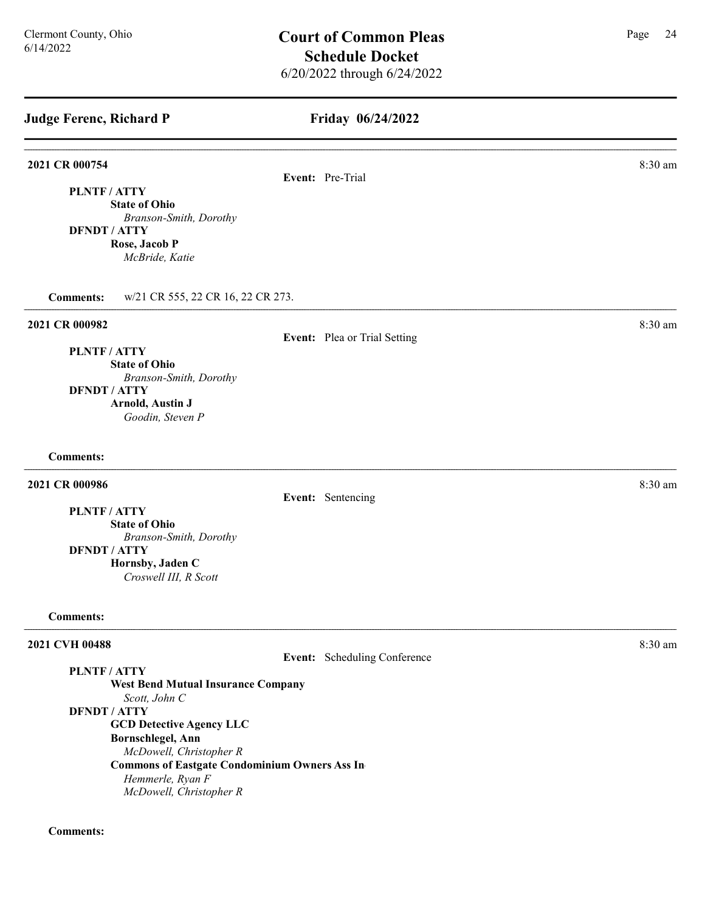## Friday 06/24/2022

#### **2021 CR 000754** 8:30 am **8.30 am**

Event: Pre-Trial

PLNTF / ATTY State of Ohio Branson-Smith, Dorothy DFNDT / ATTY Rose, Jacob P

McBride, Katie

Comments: w/21 CR 555, 22 CR 16, 22 CR 273.

#### 2021 CR 000982 8:30 am

#### Event: Plea or Trial Setting

PLNTF / ATTY State of Ohio Branson-Smith, Dorothy DFNDT / ATTY Arnold, Austin J

Goodin, Steven P

#### Comments:

#### **2021 CR 000986** 8:30 am **8:30 am**

Event: Sentencing

PLNTF / ATTY

State of Ohio Branson-Smith, Dorothy DFNDT / ATTY Hornsby, Jaden C Croswell III, R Scott

#### Comments:

#### **2021 CVH 00488** 8:30 am **8:30 am**

Event: Scheduling Conference

PLNTF / ATTY West Bend Mutual Insurance Company Scott, John C DFNDT / ATTY GCD Detective Agency LLC Bornschlegel, Ann McDowell, Christopher R Commons of Eastgate Condominium Owners Ass Inc Hemmerle, Ryan F McDowell, Christopher R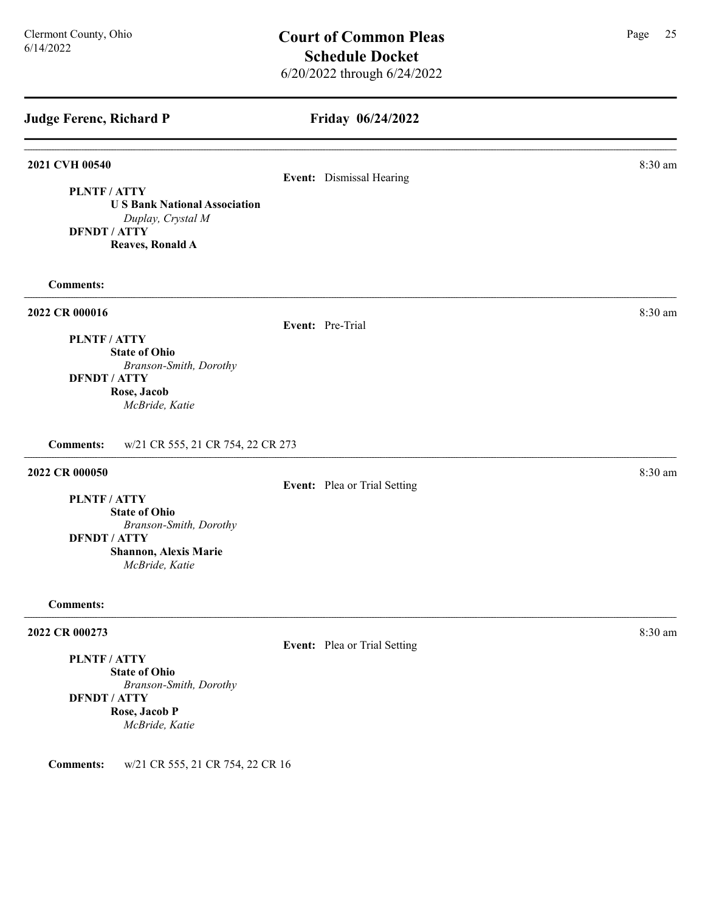PLNTF / ATTY

Friday 06/24/2022

**2021 CVH 00540** 8:30 am **8.30 am** 

U S Bank National Association Duplay, Crystal M DFNDT / ATTY Reaves, Ronald A

Comments:

## **2022 CR 000016** 8:30 am **8:30 am**

PLNTF / ATTY

Event: Pre-Trial

State of Ohio Branson-Smith, Dorothy DFNDT / ATTY Rose, Jacob McBride, Katie

Comments: w/21 CR 555, 21 CR 754, 22 CR 273

#### 2022 CR 000050 8:30 am 2022 CR 000050 8:30 am 2022 CR 000050 8:30 am 2022 CR 000050 8:30 am 2022 CR 000050 8:30 am 2022 CR 000050 8:30 am 2022 CR 000050 8:30 am 2022 CR 000050 8:30 am 2022 CR 000050 8:30 am 2022 CR 000050

Event: Plea or Trial Setting

PLNTF / ATTY State of Ohio Branson-Smith, Dorothy DFNDT / ATTY Shannon, Alexis Marie

McBride, Katie

#### Comments:

#### 2022 CR 000273 8:30 am

Event: Plea or Trial Setting

PLNTF / ATTY State of Ohio Branson-Smith, Dorothy DFNDT / ATTY Rose, Jacob P

McBride, Katie

Comments: w/21 CR 555, 21 CR 754, 22 CR 16

## Event: Dismissal Hearing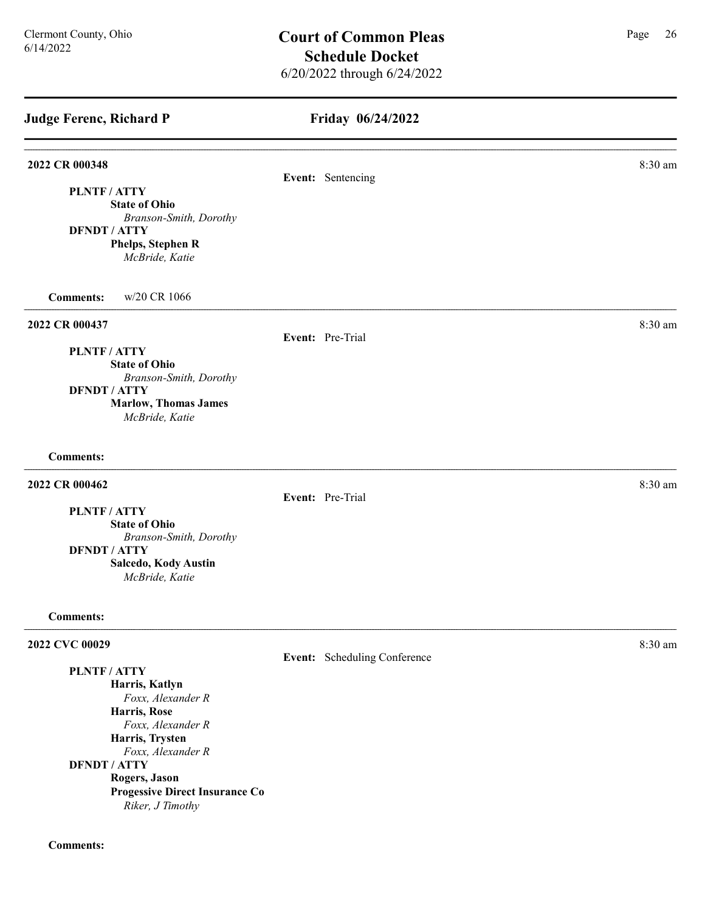| <b>Judge Ferenc, Richard P</b>                     | Friday 06/24/2022            |         |
|----------------------------------------------------|------------------------------|---------|
| 2022 CR 000348                                     | Event: Sentencing            | 8:30 am |
| PLNTF / ATTY                                       |                              |         |
| <b>State of Ohio</b>                               |                              |         |
| Branson-Smith, Dorothy                             |                              |         |
| <b>DFNDT / ATTY</b>                                |                              |         |
| Phelps, Stephen R<br>McBride, Katie                |                              |         |
| <b>Comments:</b><br>w/20 CR 1066                   |                              |         |
| 2022 CR 000437                                     |                              | 8:30 am |
|                                                    | Event: Pre-Trial             |         |
| PLNTF / ATTY                                       |                              |         |
| <b>State of Ohio</b>                               |                              |         |
| Branson-Smith, Dorothy                             |                              |         |
| <b>DFNDT / ATTY</b><br><b>Marlow, Thomas James</b> |                              |         |
| McBride, Katie                                     |                              |         |
| <b>Comments:</b>                                   |                              |         |
| 2022 CR 000462                                     |                              | 8:30 am |
|                                                    | Event: Pre-Trial             |         |
| <b>PLNTF/ATTY</b>                                  |                              |         |
| <b>State of Ohio</b>                               |                              |         |
| Branson-Smith, Dorothy<br><b>DFNDT / ATTY</b>      |                              |         |
| Salcedo, Kody Austin<br>McBride, Katie             |                              |         |
|                                                    |                              |         |
| <b>Comments:</b>                                   |                              |         |
| 2022 CVC 00029                                     |                              | 8:30 am |
|                                                    | Event: Scheduling Conference |         |
| PLNTF/ATTY                                         |                              |         |
| Harris, Katlyn                                     |                              |         |
| Foxx, Alexander R                                  |                              |         |
| Harris, Rose<br>Foxx, Alexander R                  |                              |         |
| Harris, Trysten                                    |                              |         |

Foxx, Alexander R DFNDT / ATTY Rogers, Jason

Progessive Direct Insurance Co Riker, J Timothy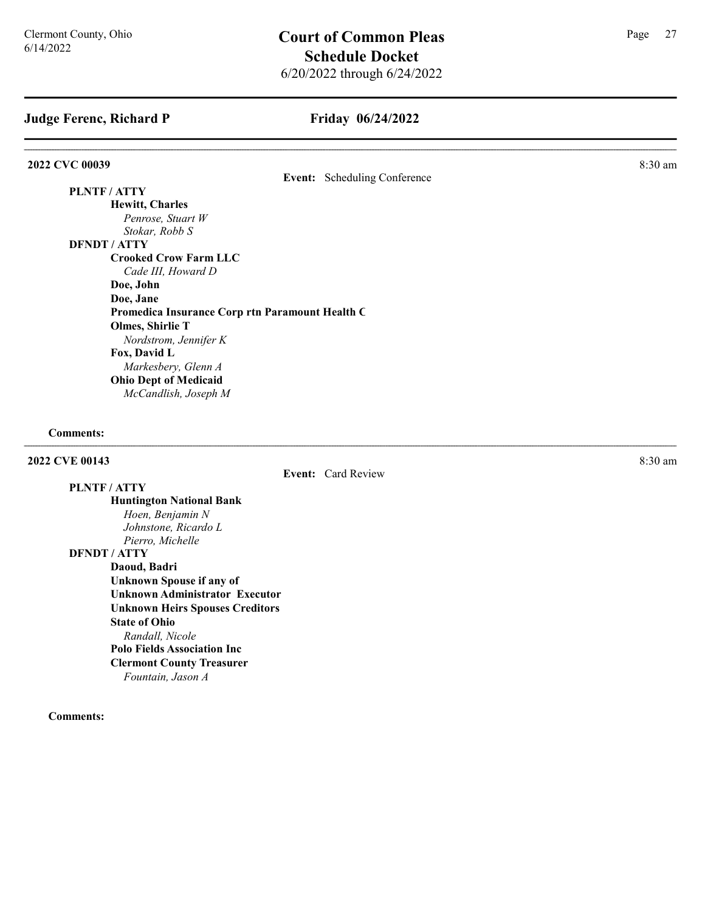#### Friday 06/24/2022

#### 2022 CVC 00039 8:30 am **8:30 am**

Event: Scheduling Conference

PLNTF / ATTY

Hewitt, Charles Penrose, Stuart W Stokar, Robb S

DFNDT / ATTY

Crooked Crow Farm LLC Cade III, Howard D Doe, John Doe, Jane Promedica Insurance Corp rtn Paramount Health C Olmes, Shirlie T Nordstrom, Jennifer K Fox, David L Markesbery, Glenn A Ohio Dept of Medicaid McCandlish, Joseph M

#### Comments:

#### **2022 CVE 00143** 8:30 am **8:30 am**

Event: Card Review

PLNTF / ATTY Huntington National Bank Hoen, Benjamin N Johnstone, Ricardo L Pierro, Michelle DFNDT / ATTY Daoud, Badri

Unknown Spouse if any of Unknown Administrator Executor Unknown Heirs Spouses Creditors State of Ohio Randall, Nicole Polo Fields Association Inc Clermont County Treasurer Fountain, Jason A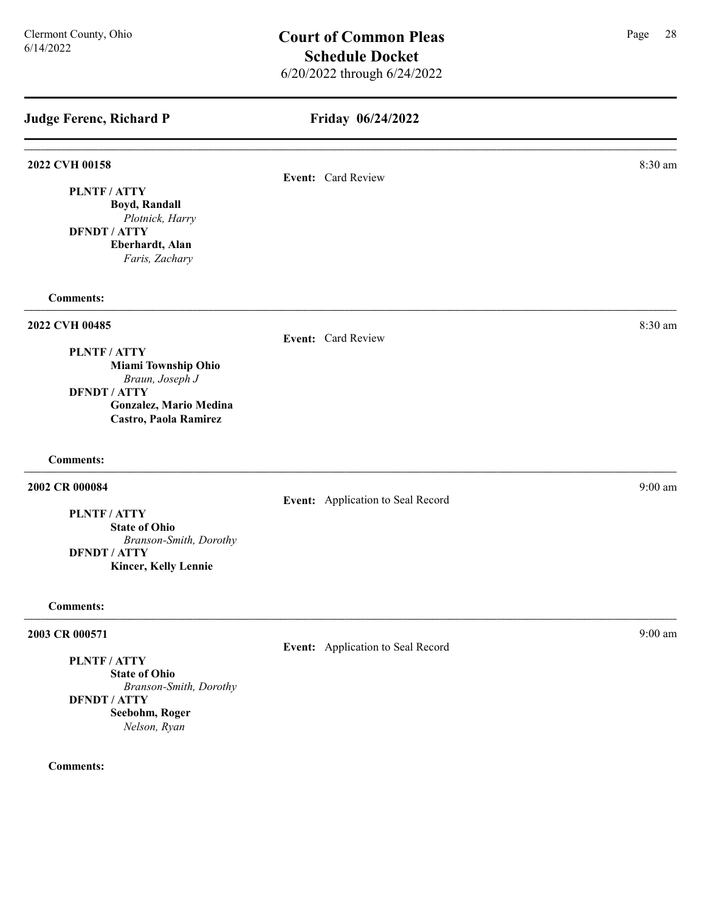| <b>Judge Ferenc, Richard P</b>                                                                                                                                        | Friday 06/24/2022                 |           |
|-----------------------------------------------------------------------------------------------------------------------------------------------------------------------|-----------------------------------|-----------|
| 2022 CVH 00158<br>PLNTF / ATTY<br>Boyd, Randall<br>Plotnick, Harry<br><b>DFNDT / ATTY</b><br>Eberhardt, Alan<br>Faris, Zachary                                        | Event: Card Review                | 8:30 am   |
| <b>Comments:</b>                                                                                                                                                      |                                   |           |
| 2022 CVH 00485<br><b>PLNTF/ATTY</b><br><b>Miami Township Ohio</b><br>Braun, Joseph J<br><b>DFNDT / ATTY</b><br>Gonzalez, Mario Medina<br><b>Castro, Paola Ramirez</b> | Event: Card Review                | 8:30 am   |
| <b>Comments:</b>                                                                                                                                                      |                                   |           |
| 2002 CR 000084<br><b>PLNTF/ATTY</b><br><b>State of Ohio</b><br>Branson-Smith, Dorothy<br><b>DFNDT / ATTY</b><br>Kincer, Kelly Lennie                                  | Event: Application to Seal Record | $9:00$ am |
| <b>Comments:</b>                                                                                                                                                      |                                   |           |
| 2003 CR 000571<br>PLNTF / ATTY<br><b>State of Ohio</b><br>Branson-Smith, Dorothy<br><b>DFNDT / ATTY</b><br>Seebohm, Roger<br>Nelson, Ryan                             | Event: Application to Seal Record | $9:00$ am |